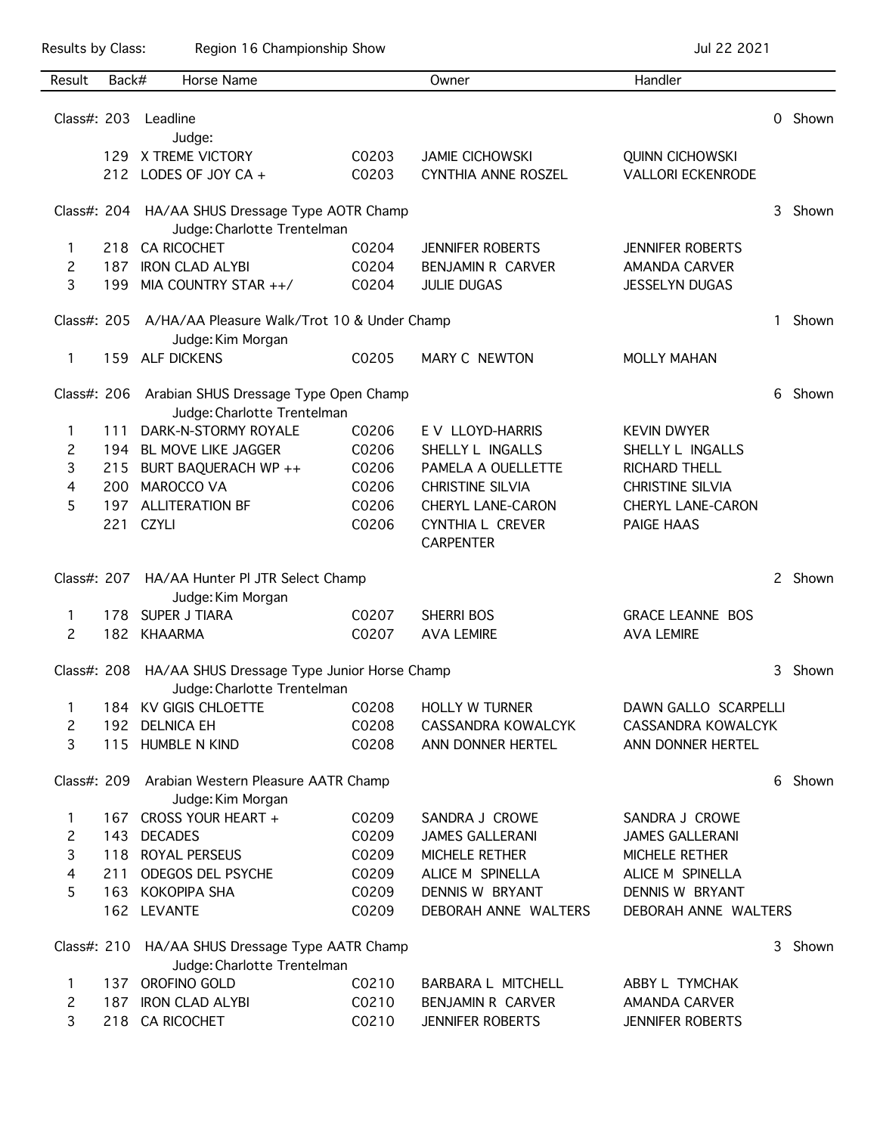Results by Class: Region 16 Championship Show Championship Show Jul 22 2021

| Result         | Back# | Horse Name                                                                   |       | Owner                      | Handler                  |   |         |
|----------------|-------|------------------------------------------------------------------------------|-------|----------------------------|--------------------------|---|---------|
|                |       |                                                                              |       |                            |                          |   |         |
| Class#: 203    |       | Leadline                                                                     |       |                            |                          | 0 | Shown   |
|                |       | Judge:                                                                       |       |                            |                          |   |         |
|                | 129.  | X TREME VICTORY                                                              | C0203 | <b>JAMIE CICHOWSKI</b>     | <b>QUINN CICHOWSKI</b>   |   |         |
|                |       | 212 LODES OF JOY CA +                                                        | C0203 | <b>CYNTHIA ANNE ROSZEL</b> | <b>VALLORI ECKENRODE</b> |   |         |
|                |       | Class#: 204 HA/AA SHUS Dressage Type AOTR Champ                              |       |                            |                          | 3 | Shown   |
|                |       | Judge: Charlotte Trentelman                                                  |       |                            |                          |   |         |
| 1              | 218   | <b>CA RICOCHET</b>                                                           | C0204 | <b>JENNIFER ROBERTS</b>    | <b>JENNIFER ROBERTS</b>  |   |         |
| 2              | 187   | <b>IRON CLAD ALYBI</b>                                                       | C0204 | BENJAMIN R CARVER          | <b>AMANDA CARVER</b>     |   |         |
| 3              | 199   | MIA COUNTRY STAR ++/                                                         | C0204 | <b>JULIE DUGAS</b>         | <b>JESSELYN DUGAS</b>    |   |         |
|                |       | Class#: 205 A/HA/AA Pleasure Walk/Trot 10 & Under Champ<br>Judge: Kim Morgan |       |                            |                          |   |         |
| 1              | 159   | <b>ALF DICKENS</b>                                                           | C0205 | MARY C NEWTON              | <b>MOLLY MAHAN</b>       |   |         |
|                |       |                                                                              |       |                            |                          |   |         |
| Class#: 206    |       | Arabian SHUS Dressage Type Open Champ                                        |       |                            |                          |   | Shown   |
|                |       | Judge: Charlotte Trentelman                                                  |       |                            |                          |   |         |
| 1              | 111   | DARK-N-STORMY ROYALE                                                         | C0206 | E V LLOYD-HARRIS           | <b>KEVIN DWYER</b>       |   |         |
| 2              | 194   | BL MOVE LIKE JAGGER                                                          | C0206 | SHELLY L INGALLS           | SHELLY L INGALLS         |   |         |
| 3              | 215   | BURT BAQUERACH WP ++                                                         | C0206 | PAMELA A OUELLETTE         | <b>RICHARD THELL</b>     |   |         |
| 4              | 200   | <b>MAROCCO VA</b>                                                            | C0206 | <b>CHRISTINE SILVIA</b>    | <b>CHRISTINE SILVIA</b>  |   |         |
| 5              | 197   | <b>ALLITERATION BF</b>                                                       | C0206 | CHERYL LANE-CARON          | <b>CHERYL LANE-CARON</b> |   |         |
|                | 221   | <b>CZYLI</b>                                                                 | C0206 | CYNTHIA L CREVER           | PAIGE HAAS               |   |         |
|                |       |                                                                              |       | <b>CARPENTER</b>           |                          |   |         |
| Class#: 207    |       | HA/AA Hunter PI JTR Select Champ                                             |       |                            |                          |   | 2 Shown |
|                |       | Judge: Kim Morgan                                                            |       |                            |                          |   |         |
| 1              | 178   | <b>SUPER J TIARA</b>                                                         | C0207 | <b>SHERRI BOS</b>          | <b>GRACE LEANNE BOS</b>  |   |         |
| 2              | 182   | <b>KHAARMA</b>                                                               | C0207 | <b>AVA LEMIRE</b>          | <b>AVA LEMIRE</b>        |   |         |
| Class#: 208    |       |                                                                              |       |                            |                          | 3 | Shown   |
|                |       | HA/AA SHUS Dressage Type Junior Horse Champ<br>Judge: Charlotte Trentelman   |       |                            |                          |   |         |
| $\mathbf{1}$   |       | 184 KV GIGIS CHLOETTE                                                        | C0208 | <b>HOLLY W TURNER</b>      | DAWN GALLO SCARPELLI     |   |         |
| 2              |       | 192 DELNICA EH                                                               | C0208 | CASSANDRA KOWALCYK         | CASSANDRA KOWALCYK       |   |         |
| 3              |       | 115 HUMBLE N KIND                                                            | C0208 | ANN DONNER HERTEL          | ANN DONNER HERTEL        |   |         |
|                |       |                                                                              |       |                            |                          | 6 | Shown   |
|                |       | Class#: 209 Arabian Western Pleasure AATR Champ<br>Judge: Kim Morgan         |       |                            |                          |   |         |
| 1              |       | 167 CROSS YOUR HEART +                                                       | C0209 | SANDRA J CROWE             | SANDRA J CROWE           |   |         |
| 2              |       | 143 DECADES                                                                  | C0209 | <b>JAMES GALLERANI</b>     | <b>JAMES GALLERANI</b>   |   |         |
| 3              |       | 118 ROYAL PERSEUS                                                            | C0209 | MICHELE RETHER             | MICHELE RETHER           |   |         |
| $\overline{4}$ | 211   | ODEGOS DEL PSYCHE                                                            | C0209 | ALICE M SPINELLA           | ALICE M SPINELLA         |   |         |
| 5              |       | 163 KOKOPIPA SHA                                                             | C0209 | DENNIS W BRYANT            | DENNIS W BRYANT          |   |         |
|                |       | 162 LEVANTE                                                                  | C0209 | DEBORAH ANNE WALTERS       | DEBORAH ANNE WALTERS     |   |         |
|                |       |                                                                              |       |                            |                          |   |         |
|                |       | Class#: 210 HA/AA SHUS Dressage Type AATR Champ                              |       |                            |                          | 3 | Shown   |
|                |       | Judge: Charlotte Trentelman                                                  |       |                            |                          |   |         |
| $\mathbf{1}$   |       | 137 OROFINO GOLD                                                             | C0210 | BARBARA L MITCHELL         | ABBY L TYMCHAK           |   |         |
| $\mathbf{2}$   |       | 187 IRON CLAD ALYBI                                                          | C0210 | <b>BENJAMIN R CARVER</b>   | AMANDA CARVER            |   |         |
| 3              |       | 218 CA RICOCHET                                                              | C0210 | <b>JENNIFER ROBERTS</b>    | <b>JENNIFER ROBERTS</b>  |   |         |